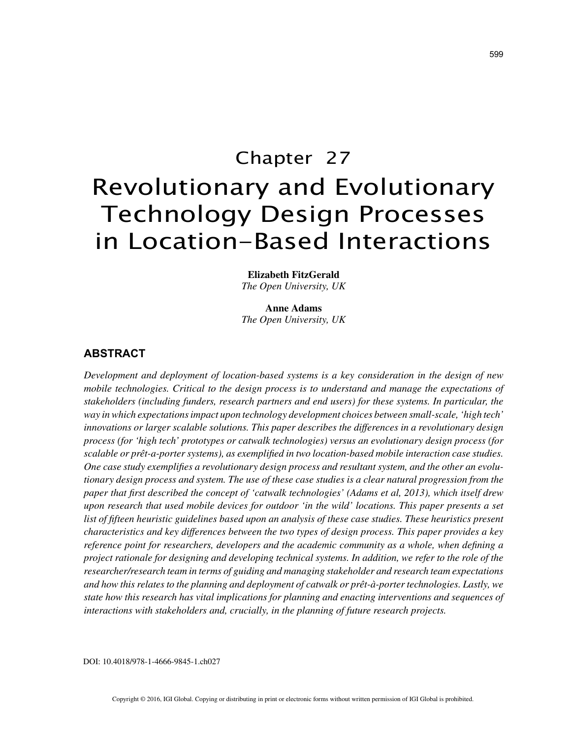# Chapter 27 Revolutionary and Evolutionary Technology Design Processes in Location-Based Interactions

**Elizabeth FitzGerald** *The Open University, UK*

**Anne Adams** *The Open University, UK*

# **ABSTRACT**

*Development and deployment of location-based systems is a key consideration in the design of new mobile technologies. Critical to the design process is to understand and manage the expectations of stakeholders (including funders, research partners and end users) for these systems. In particular, the way in which expectations impact upon technology development choices between small-scale, 'high tech' innovations or larger scalable solutions. This paper describes the differences in a revolutionary design process (for 'high tech' prototypes or catwalk technologies) versus an evolutionary design process (for scalable or prêt-a-porter systems), as exemplified in two location-based mobile interaction case studies. One case study exemplifies a revolutionary design process and resultant system, and the other an evolutionary design process and system. The use of these case studies is a clear natural progression from the paper that first described the concept of 'catwalk technologies' (Adams et al, 2013), which itself drew upon research that used mobile devices for outdoor 'in the wild' locations. This paper presents a set list of fifteen heuristic guidelines based upon an analysis of these case studies. These heuristics present characteristics and key differences between the two types of design process. This paper provides a key reference point for researchers, developers and the academic community as a whole, when defining a project rationale for designing and developing technical systems. In addition, we refer to the role of the researcher/research team in terms of guiding and managing stakeholder and research team expectations and how this relates to the planning and deployment of catwalk or prêt-à-porter technologies. Lastly, we state how this research has vital implications for planning and enacting interventions and sequences of interactions with stakeholders and, crucially, in the planning of future research projects.*

DOI: 10.4018/978-1-4666-9845-1.ch027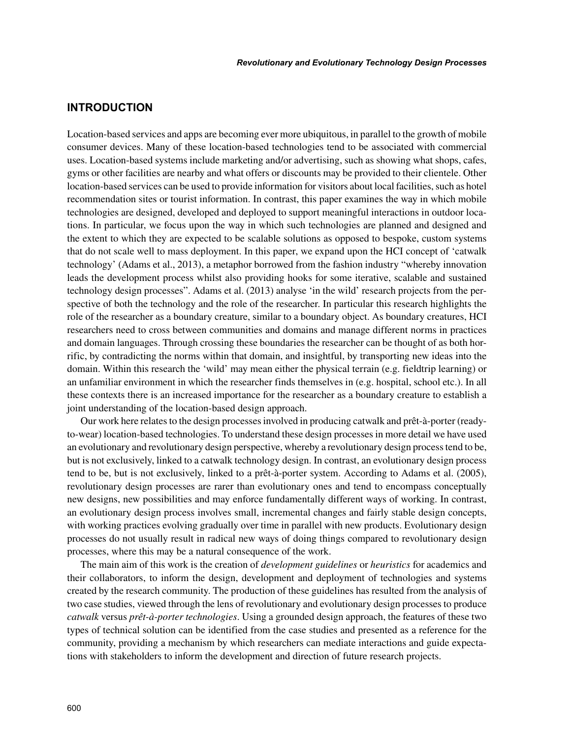# **INTRODUCTION**

Location-based services and apps are becoming ever more ubiquitous, in parallel to the growth of mobile consumer devices. Many of these location-based technologies tend to be associated with commercial uses. Location-based systems include marketing and/or advertising, such as showing what shops, cafes, gyms or other facilities are nearby and what offers or discounts may be provided to their clientele. Other location-based services can be used to provide information for visitors about local facilities, such as hotel recommendation sites or tourist information. In contrast, this paper examines the way in which mobile technologies are designed, developed and deployed to support meaningful interactions in outdoor locations. In particular, we focus upon the way in which such technologies are planned and designed and the extent to which they are expected to be scalable solutions as opposed to bespoke, custom systems that do not scale well to mass deployment. In this paper, we expand upon the HCI concept of 'catwalk technology' (Adams et al., 2013), a metaphor borrowed from the fashion industry "whereby innovation leads the development process whilst also providing hooks for some iterative, scalable and sustained technology design processes". Adams et al. (2013) analyse 'in the wild' research projects from the perspective of both the technology and the role of the researcher. In particular this research highlights the role of the researcher as a boundary creature, similar to a boundary object. As boundary creatures, HCI researchers need to cross between communities and domains and manage different norms in practices and domain languages. Through crossing these boundaries the researcher can be thought of as both horrific, by contradicting the norms within that domain, and insightful, by transporting new ideas into the domain. Within this research the 'wild' may mean either the physical terrain (e.g. fieldtrip learning) or an unfamiliar environment in which the researcher finds themselves in (e.g. hospital, school etc.). In all these contexts there is an increased importance for the researcher as a boundary creature to establish a joint understanding of the location-based design approach.

Our work here relates to the design processes involved in producing catwalk and prêt-à-porter (readyto-wear) location-based technologies. To understand these design processes in more detail we have used an evolutionary and revolutionary design perspective, whereby a revolutionary design process tend to be, but is not exclusively, linked to a catwalk technology design. In contrast, an evolutionary design process tend to be, but is not exclusively, linked to a prêt-à-porter system. According to Adams et al. (2005), revolutionary design processes are rarer than evolutionary ones and tend to encompass conceptually new designs, new possibilities and may enforce fundamentally different ways of working. In contrast, an evolutionary design process involves small, incremental changes and fairly stable design concepts, with working practices evolving gradually over time in parallel with new products. Evolutionary design processes do not usually result in radical new ways of doing things compared to revolutionary design processes, where this may be a natural consequence of the work.

The main aim of this work is the creation of *development guidelines* or *heuristics* for academics and their collaborators, to inform the design, development and deployment of technologies and systems created by the research community. The production of these guidelines has resulted from the analysis of two case studies, viewed through the lens of revolutionary and evolutionary design processes to produce *catwalk* versus *prêt-à-porter technologies*. Using a grounded design approach, the features of these two types of technical solution can be identified from the case studies and presented as a reference for the community, providing a mechanism by which researchers can mediate interactions and guide expectations with stakeholders to inform the development and direction of future research projects.